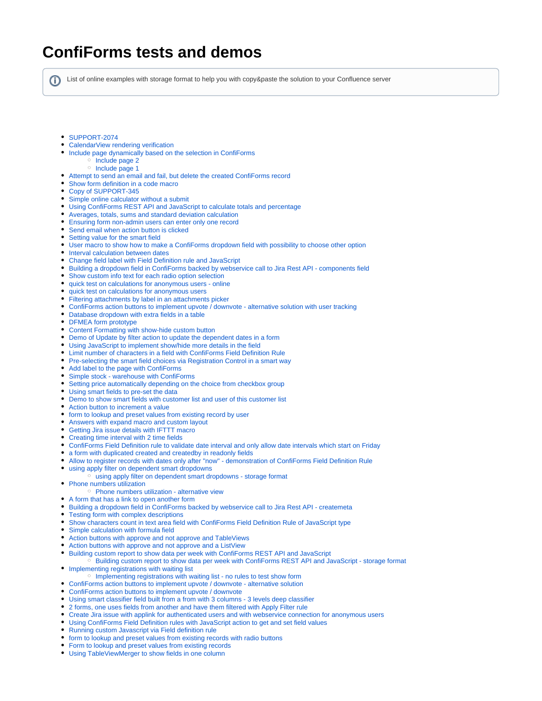## **ConfiForms tests and demos**

ന

List of online examples with storage format to help you with copy&paste the solution to your Confluence server

- [SUPPORT-2074](https://wiki.vertuna.com/display/TEST/SUPPORT-2074)
- [CalendarView rendering verification](https://wiki.vertuna.com/display/TEST/CalendarView+rendering+verification)
- [Include page dynamically based on the selection in ConfiForms](https://wiki.vertuna.com/display/TEST/Include+page+dynamically+based+on+the+selection+in+ConfiForms)
	- <sup>o</sup> [Include page 2](https://wiki.vertuna.com/display/TEST/Include+page+2)
	- <sup>o</sup> [Include page 1](https://wiki.vertuna.com/display/TEST/Include+page+1)
- [Attempt to send an email and fail, but delete the created ConfiForms record](https://wiki.vertuna.com/display/TEST/Attempt+to+send+an+email+and+fail%2C+but+delete+the+created+ConfiForms+record)
- [Show form definition in a code macro](https://wiki.vertuna.com/display/TEST/Show+form+definition+in+a+code+macro)
- [Copy of SUPPORT-345](https://wiki.vertuna.com/display/TEST/Copy+of+SUPPORT-345)
- [Simple online calculator without a submit](https://wiki.vertuna.com/display/TEST/Simple+online+calculator+without+a+submit)
- [Using ConfiForms REST API and JavaScript to calculate totals and percentage](https://wiki.vertuna.com/display/TEST/Using+ConfiForms+REST+API+and+JavaScript+to+calculate+totals+and+percentage)
- [Averages, totals, sums and standard deviation calculation](https://wiki.vertuna.com/display/TEST/Averages%2C+totals%2C+sums+and+standard+deviation+calculation)
- [Ensuring form non-admin users can enter only one record](https://wiki.vertuna.com/display/TEST/Ensuring+form+non-admin+users+can+enter+only+one+record)
- [Send email when action button is clicked](https://wiki.vertuna.com/display/TEST/Send+email+when+action+button+is+clicked)
- [Setting value for the smart field](https://wiki.vertuna.com/display/TEST/Setting+value+for+the+smart+field)
- [User macro to show how to make a ConfiForms dropdown field with possibility to choose other option](https://wiki.vertuna.com/display/TEST/User+macro+to+show+how+to+make+a+ConfiForms+dropdown+field+with+possibility+to+choose+other+option)
- [Interval calculation between dates](https://wiki.vertuna.com/display/TEST/Interval+calculation+between+dates)
- [Change field label with Field Definition rule and JavaScript](https://wiki.vertuna.com/display/TEST/Change+field+label+with+Field+Definition+rule+and+JavaScript)
- [Building a dropdown field in ConfiForms backed by webservice call to Jira Rest API components field](https://wiki.vertuna.com/display/TEST/Building+a+dropdown+field+in+ConfiForms+backed+by+webservice+call+to+Jira+Rest+API+-+components+field)
- [Show custom info text for each radio option selection](https://wiki.vertuna.com/display/TEST/Show+custom+info+text+for+each+radio+option+selection)
- [quick test on calculations for anonymous users online](https://wiki.vertuna.com/display/TEST/quick+test+on+calculations+for+anonymous+users+-+online)
- [quick test on calculations for anonymous users](https://wiki.vertuna.com/display/TEST/quick+test+on+calculations+for+anonymous+users)
- [Filtering attachments by label in an attachments picker](https://wiki.vertuna.com/display/TEST/Filtering+attachments+by+label+in+an+attachments+picker)
- [ConfiForms action buttons to implement upvote / downvote alternative solution with user tracking](https://wiki.vertuna.com/pages/viewpage.action?pageId=33685768)
- [Database dropdown with extra fields in a table](https://wiki.vertuna.com/display/TEST/Database+dropdown+with+extra+fields+in+a+table)
- [DFMEA form prototype](https://wiki.vertuna.com/display/TEST/DFMEA+form+prototype)
- [Content Formatting with show-hide custom button](https://wiki.vertuna.com/display/TEST/Content+Formatting+with+show-hide+custom+button)
- [Demo of Update by filter action to update the dependent dates in a form](https://wiki.vertuna.com/display/TEST/Demo+of+Update+by+filter+action+to+update+the+dependent+dates+in+a+form)
- [Using JavaScript to implement show/hide more details in the field](https://wiki.vertuna.com/pages/viewpage.action?pageId=31096982)
- [Limit number of characters in a field with ConfiForms Field Definition Rule](https://wiki.vertuna.com/display/TEST/Limit+number+of+characters+in+a+field+with+ConfiForms+Field+Definition+Rule)
- [Pre-selecting the smart field choices via Registration Control in a smart way](https://wiki.vertuna.com/display/TEST/Pre-selecting+the+smart+field+choices+via+Registration+Control+in+a+smart+way)
- [Add label to the page with ConfiForms](https://wiki.vertuna.com/display/TEST/Add+label+to+the+page+with+ConfiForms)
- [Simple stock warehouse with ConfiForms](https://wiki.vertuna.com/display/TEST/Simple+stock+-+warehouse+with+ConfiForms)
- [Setting price automatically depending on the choice from checkbox group](https://wiki.vertuna.com/display/TEST/Setting+price+automatically+depending+on+the+choice+from+checkbox+group)
- [Using smart fields to pre-set the data](https://wiki.vertuna.com/display/TEST/Using+smart+fields+to+pre-set+the+data)
- [Demo to show smart fields with customer list and user of this customer list](https://wiki.vertuna.com/display/TEST/Demo+to+show+smart+fields+with+customer+list+and+user+of+this+customer+list)
- [Action button to increment a value](https://wiki.vertuna.com/display/TEST/Action+button+to+increment+a+value)
- [form to lookup and preset values from existing record by user](https://wiki.vertuna.com/display/TEST/form+to+lookup+and+preset+values+from+existing+record+by+user)
- [Answers with expand macro and custom layout](https://wiki.vertuna.com/display/TEST/Answers+with+expand+macro+and+custom+layout)
- [Getting Jira issue details with IFTTT macro](https://wiki.vertuna.com/display/TEST/Getting+Jira+issue+details+with+IFTTT+macro)
- [Creating time interval with 2 time fields](https://wiki.vertuna.com/display/TEST/Creating+time+interval+with+2+time+fields)
- [ConfiForms Field Definition rule to validate date interval and only allow date intervals which start on Friday](https://wiki.vertuna.com/display/TEST/ConfiForms+Field+Definition+rule+to+validate+date+interval+and+only+allow+date+intervals+which+start+on+Friday)
- [a form with duplicated created and createdby in readonly fields](https://wiki.vertuna.com/display/TEST/a+form+with+duplicated+created+and+createdby+in+readonly+fields)
- [Allow to register records with dates only after "now" demonstration of ConfiForms Field Definition Rule](https://wiki.vertuna.com/pages/viewpage.action?pageId=25591937)
- [using apply filter on dependent smart dropdowns](https://wiki.vertuna.com/display/TEST/using+apply+filter+on+dependent+smart+dropdowns)
	- [using apply filter on dependent smart dropdowns storage format](https://wiki.vertuna.com/display/TEST/using+apply+filter+on+dependent+smart+dropdowns+-+storage+format)
- [Phone numbers utilization](https://wiki.vertuna.com/display/TEST/Phone+numbers+utilization)
- <sup>o</sup> [Phone numbers utilization alternative view](https://wiki.vertuna.com/display/TEST/Phone+numbers+utilization+-+alternative+view)
- [A form that has a link to open another form](https://wiki.vertuna.com/display/TEST/A+form+that+has+a+link+to+open+another+form)
- [Building a dropdown field in ConfiForms backed by webservice call to Jira Rest API createmeta](https://wiki.vertuna.com/display/TEST/Building+a+dropdown+field+in+ConfiForms+backed+by+webservice+call+to+Jira+Rest+API+-+createmeta)
- [Testing form with complex descriptions](https://wiki.vertuna.com/display/TEST/Testing+form+with+complex+descriptions)
- [Show characters count in text area field with ConfiForms Field Definition Rule of JavaScript type](https://wiki.vertuna.com/display/TEST/Show+characters+count+in+text+area+field+with+ConfiForms+Field+Definition+Rule+of+JavaScript+type)
- [Simple calculation with formula field](https://wiki.vertuna.com/display/TEST/Simple+calculation+with+formula+field)
- [Action buttons with approve and not approve and TableViews](https://wiki.vertuna.com/display/TEST/Action+buttons+with+approve+and+not+approve+and+TableViews)
- [Action buttons with approve and not approve and a ListView](https://wiki.vertuna.com/display/TEST/Action+buttons+with+approve+and+not+approve+and+a+ListView)
- $\bullet$ [Building custom report to show data per week with ConfiForms REST API and JavaScript](https://wiki.vertuna.com/display/TEST/Building+custom+report+to+show+data+per+week+with+ConfiForms+REST+API+and+JavaScript)
- <sup>o</sup> [Building custom report to show data per week with ConfiForms REST API and JavaScript storage format](https://wiki.vertuna.com/display/TEST/Building+custom+report+to+show+data+per+week+with+ConfiForms+REST+API+and+JavaScript+-+storage+format) **•** [Implementing registrations with waiting list](https://wiki.vertuna.com/display/TEST/Implementing+registrations+with+waiting+list)
	- <sup>o</sup> [Implementing registrations with waiting list no rules to test show form](https://wiki.vertuna.com/display/TEST/Implementing+registrations+with+waiting+list+-+no+rules+to+test+show+form)
- [ConfiForms action buttons to implement upvote / downvote alternative solution](https://wiki.vertuna.com/pages/viewpage.action?pageId=22708301)
- [ConfiForms action buttons to implement upvote / downvote](https://wiki.vertuna.com/pages/viewpage.action?pageId=22708293)
- [Using smart classifier field built from a from with 3 columns 3 levels deep classifier](https://wiki.vertuna.com/display/TEST/Using+smart+classifier+field+built+from+a+from+with+3+columns+-+3+levels+deep+classifier)
- [2 forms, one uses fields from another and have them filtered with Apply Filter rule](https://wiki.vertuna.com/display/TEST/2+forms%2C+one+uses+fields+from+another+and+have+them+filtered+with+Apply+Filter+rule)
- [Create Jira issue with applink for authenticated users and with webservice connection for anonymous users](https://wiki.vertuna.com/display/TEST/Create+Jira+issue+with+applink+for+authenticated+users+and+with+webservice+connection+for+anonymous+users)
- [Using ConfiForms Field Definition rules with JavaScript action to get and set field values](https://wiki.vertuna.com/display/TEST/Using+ConfiForms+Field+Definition+rules+with+JavaScript+action+to+get+and+set+field+values)
- [Running custom Javascript via Field definition rule](https://wiki.vertuna.com/display/TEST/Running+custom+Javascript+via+Field+definition+rule)
- [form to lookup and preset values from existing records with radio buttons](https://wiki.vertuna.com/display/TEST/form+to+lookup+and+preset+values+from+existing+records+with+radio+buttons)
- **[Form to lookup and preset values from existing records](https://wiki.vertuna.com/display/TEST/Form+to+lookup+and+preset+values+from+existing+records)**
- [Using TableViewMerger to show fields in one column](https://wiki.vertuna.com/display/TEST/Using+TableViewMerger+to+show+fields+in+one+column)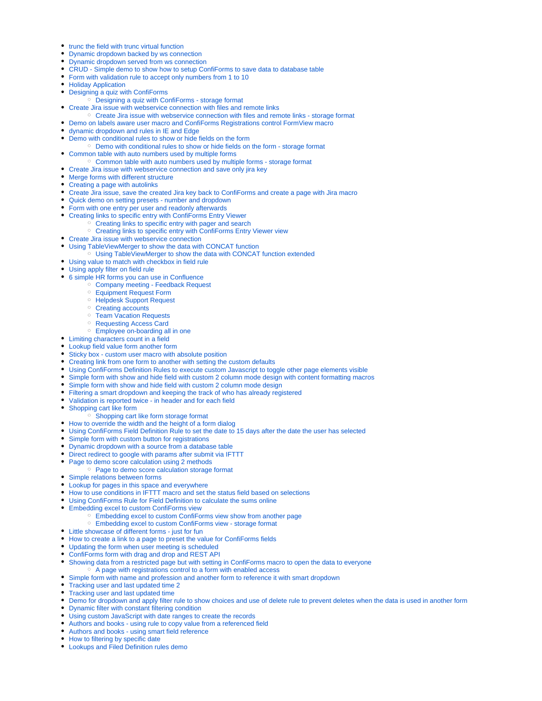- **\*** [trunc the field with trunc virtual function](https://wiki.vertuna.com/display/TEST/trunc+the+field+with+trunc+virtual+function)
- [Dynamic dropdown backed by ws connection](https://wiki.vertuna.com/display/TEST/Dynamic+dropdown+backed+by+ws+connection)
- [Dynamic dropdown served from ws connection](https://wiki.vertuna.com/display/TEST/Dynamic+dropdown+served+from+ws+connection)
- [CRUD Simple demo to show how to setup ConfiForms to save data to database table](https://wiki.vertuna.com/display/TEST/CRUD+-+Simple+demo+to+show+how+to+setup+ConfiForms+to+save+data+to+database+table)
- [Form with validation rule to accept only numbers from 1 to 10](https://wiki.vertuna.com/display/TEST/Form+with+validation+rule+to+accept+only+numbers+from+1+to+10)
- **[Holiday Application](https://wiki.vertuna.com/display/TEST/Holiday+Application)**
- [Designing a quiz with ConfiForms](https://wiki.vertuna.com/display/TEST/Designing+a+quiz+with+ConfiForms)
- [Designing a quiz with ConfiForms storage format](https://wiki.vertuna.com/display/TEST/Designing+a+quiz+with+ConfiForms+-+storage+format)
- [Create Jira issue with webservice connection with files and remote links](https://wiki.vertuna.com/display/TEST/Create+Jira+issue+with+webservice+connection+with+files+and+remote+links)
- [Create Jira issue with webservice connection with files and remote links storage format](https://wiki.vertuna.com/display/TEST/Create+Jira+issue+with+webservice+connection+with+files+and+remote+links+-+storage+format)
- [Demo on labels aware user macro and ConfiForms Registrations control FormView macro](https://wiki.vertuna.com/display/TEST/Demo+on+labels+aware+user+macro+and+ConfiForms+Registrations+control+FormView+macro)
- [dynamic dropdown and rules in IE and Edge](https://wiki.vertuna.com/display/TEST/dynamic+dropdown+and+rules+in+IE+and+Edge)
- [Demo with conditional rules to show or hide fields on the form](https://wiki.vertuna.com/display/TEST/Demo+with+conditional+rules+to+show+or+hide+fields+on+the+form)
- [Demo with conditional rules to show or hide fields on the form storage format](https://wiki.vertuna.com/display/TEST/Demo+with+conditional+rules+to+show+or+hide+fields+on+the+form+-+storage+format)
- [Common table with auto numbers used by multiple forms](https://wiki.vertuna.com/display/TEST/Common+table+with+auto+numbers+used+by+multiple+forms)
- [Common table with auto numbers used by multiple forms storage format](https://wiki.vertuna.com/display/TEST/Common+table+with+auto+numbers+used+by+multiple+forms+-+storage+format)
- [Create Jira issue with webservice connection and save only jira key](https://wiki.vertuna.com/display/TEST/Create+Jira+issue+with+webservice+connection+and+save+only+jira+key)
- [Merge forms with different structure](https://wiki.vertuna.com/display/TEST/Merge+forms+with+different+structure)
- [Creating a page with autolinks](https://wiki.vertuna.com/display/TEST/Creating+a+page+with+autolinks)
- [Create Jira issue, save the created Jira key back to ConfiForms and create a page with Jira macro](https://wiki.vertuna.com/display/TEST/Create+Jira+issue%2C+save+the+created+Jira+key+back+to+ConfiForms+and+create+a+page+with+Jira+macro)
- [Quick demo on setting presets number and dropdown](https://wiki.vertuna.com/display/TEST/Quick+demo+on+setting+presets+-+number+and+dropdown)
- [Form with one entry per user and readonly afterwards](https://wiki.vertuna.com/display/TEST/Form+with+one+entry+per+user+and+readonly+afterwards)
- [Creating links to specific entry with ConfiForms Entry Viewer](https://wiki.vertuna.com/display/TEST/Creating+links+to+specific+entry+with+ConfiForms+Entry+Viewer)
	- <sup>o</sup> [Creating links to specific entry with pager and search](https://wiki.vertuna.com/display/TEST/Creating+links+to+specific+entry+with+pager+and+search)
	- [Creating links to specific entry with ConfiForms Entry Viewer view](https://wiki.vertuna.com/display/TEST/Creating+links+to+specific+entry+with+ConfiForms+Entry+Viewer+view)
- [Create Jira issue with webservice connection](https://wiki.vertuna.com/display/TEST/Create+Jira+issue+with+webservice+connection)
- [Using TableViewMerger to show the data with CONCAT function](https://wiki.vertuna.com/display/TEST/Using+TableViewMerger+to+show+the+data+with+CONCAT+function)
	- [Using TableViewMerger to show the data with CONCAT function extended](https://wiki.vertuna.com/display/TEST/Using+TableViewMerger+to+show+the+data+with+CONCAT+function+extended)
- [Using value to match with checkbox in field rule](https://wiki.vertuna.com/display/TEST/Using+value+to+match+with+checkbox+in+field+rule)
- [Using apply filter on field rule](https://wiki.vertuna.com/display/TEST/Using+apply+filter+on+field+rule)
- [6 simple HR forms you can use in Confluence](https://wiki.vertuna.com/display/TEST/6+simple+HR+forms+you+can+use+in+Confluence)
	- <sup>o</sup> [Company meeting Feedback Request](https://wiki.vertuna.com/display/TEST/Company+meeting+-+Feedback+Request)
		- [Equipment Request Form](https://wiki.vertuna.com/display/TEST/Equipment+Request+Form)
		- <sup>o</sup> [Helpdesk Support Request](https://wiki.vertuna.com/display/TEST/Helpdesk+Support+Request)
		- <sup>o</sup> [Creating accounts](https://wiki.vertuna.com/display/TEST/Creating+accounts)
		- <sup>o</sup> [Team Vacation Requests](https://wiki.vertuna.com/display/TEST/Team+Vacation+Requests)
		- <sup>o</sup> [Requesting Access Card](https://wiki.vertuna.com/display/TEST/Requesting+Access+Card)
		- [Employee on-boarding all in one](https://wiki.vertuna.com/display/TEST/Employee+on-boarding+all+in+one)
- [Limiting characters count in a field](https://wiki.vertuna.com/display/TEST/Limiting+characters+count+in+a+field)
- [Lookup field value form another form](https://wiki.vertuna.com/display/TEST/Lookup+field+value+form+another+form)
- [Sticky box custom user macro with absolute position](https://wiki.vertuna.com/display/TEST/Sticky+box+-+custom+user+macro+with+absolute+position)
- [Creating link from one form to another with setting the custom defaults](https://wiki.vertuna.com/display/TEST/Creating+link+from+one+form+to+another+with+setting+the+custom+defaults)
- [Using ConfiForms Definition Rules to execute custom Javascript to toggle other page elements visible](https://wiki.vertuna.com/display/TEST/Using+ConfiForms+Definition+Rules+to+execute+custom+Javascript+to+toggle+other+page+elements+visible)
- [Simple form with show and hide field with custom 2 column mode design with content formatting macros](https://wiki.vertuna.com/display/TEST/Simple+form+with+show+and+hide+field+with+custom+2+column+mode+design+with+content+formatting+macros)
- [Simple form with show and hide field with custom 2 column mode design](https://wiki.vertuna.com/display/TEST/Simple+form+with+show+and+hide+field+with+custom+2+column+mode+design)
- [Filtering a smart dropdown and keeping the track of who has already registered](https://wiki.vertuna.com/display/TEST/Filtering+a+smart+dropdown+and+keeping+the+track+of+who+has+already+registered)
- [Validation is reported twice in header and for each field](https://wiki.vertuna.com/display/TEST/Validation+is+reported+twice+-+in+header+and+for+each+field)
- [Shopping cart like form](https://wiki.vertuna.com/display/TEST/Shopping+cart+like+form)
- [Shopping cart like form storage format](https://wiki.vertuna.com/display/TEST/Shopping+cart+like+form+storage+format)
- [How to override the width and the height of a form dialog](https://wiki.vertuna.com/display/TEST/How+to+override+the+width+and+the+height+of+a+form+dialog)
- [Using ConfiForms Field Definition Rule to set the date to 15 days after the date the user has selected](https://wiki.vertuna.com/display/TEST/Using+ConfiForms+Field+Definition+Rule+to+set+the+date+to+15+days+after+the+date+the+user+has+selected)
- [Simple form with custom button for registrations](https://wiki.vertuna.com/display/TEST/Simple+form+with+custom+button+for+registrations)
- [Dynamic dropdown with a source from a database table](https://wiki.vertuna.com/display/TEST/Dynamic+dropdown+with+a+source+from+a+database+table)
- [Direct redirect to google with params after submit via IFTTT](https://wiki.vertuna.com/display/TEST/Direct+redirect+to+google+with+params+after+submit+via+IFTTT)
- [Page to demo score calculation using 2 methods](https://wiki.vertuna.com/display/TEST/Page+to+demo+score+calculation+using+2+methods)
	- <sup>o</sup> [Page to demo score calculation storage format](https://wiki.vertuna.com/display/TEST/Page+to+demo+score+calculation+storage+format)
- [Simple relations between forms](https://wiki.vertuna.com/display/TEST/Simple+relations+between+forms)
- [Lookup for pages in this space and everywhere](https://wiki.vertuna.com/display/TEST/Lookup+for+pages+in+this+space+and+everywhere)
- [How to use conditions in IFTTT macro and set the status field based on selections](https://wiki.vertuna.com/display/TEST/How+to+use+conditions+in+IFTTT+macro+and+set+the+status+field+based+on+selections)
- [Using ConfiForms Rule for Field Definition to calculate the sums online](https://wiki.vertuna.com/display/TEST/Using+ConfiForms+Rule+for+Field+Definition+to+calculate+the+sums+online)
- [Embedding excel to custom ConfiForms view](https://wiki.vertuna.com/display/TEST/Embedding+excel+to+custom+ConfiForms+view)
	- [Embedding excel to custom ConfiForms view show from another page](https://wiki.vertuna.com/display/TEST/Embedding+excel+to+custom+ConfiForms+view+show+from+another+page)
- [Embedding excel to custom ConfiForms view storage format](https://wiki.vertuna.com/display/TEST/Embedding+excel+to+custom+ConfiForms+view+-+storage+format)
- [Little showcase of different forms just for fun](https://wiki.vertuna.com/display/TEST/Little+showcase+of+different+forms+-+just+for+fun)
- [How to create a link to a page to preset the value for ConfiForms fields](https://wiki.vertuna.com/display/TEST/How+to+create+a+link+to+a+page+to+preset+the+value+for+ConfiForms+fields)
- [Updating the form when user meeting is scheduled](https://wiki.vertuna.com/display/TEST/Updating+the+form+when+user+meeting+is+scheduled)
- [ConfiForms form with drag and drop and REST API](https://wiki.vertuna.com/display/TEST/ConfiForms+form+with+drag+and+drop+and+REST+API)
- [Showing data from a restricted page but with setting in ConfiForms macro to open the data to everyone](https://wiki.vertuna.com/display/TEST/Showing+data+from+a+restricted+page+but+with+setting+in+ConfiForms+macro+to+open+the+data+to+everyone)
- <sup>o</sup> [A page with registrations control to a form with enabled access](https://wiki.vertuna.com/display/TEST/A+page+with+registrations+control+to+a+form+with+enabled+access)
- [Simple form with name and profession and another form to reference it with smart dropdown](https://wiki.vertuna.com/display/TEST/Simple+form+with+name+and+profession+and+another+form+to+reference+it+with+smart+dropdown)
- [Tracking user and last updated time 2](https://wiki.vertuna.com/display/TEST/Tracking+user+and+last+updated+time+2)
- [Tracking user and last updated time](https://wiki.vertuna.com/display/TEST/Tracking+user+and+last+updated+time)
- [Demo for dropdown and apply filter rule to show choices and use of delete rule to prevent deletes when the data is used in another form](https://wiki.vertuna.com/display/TEST/Demo+for+dropdown+and+apply+filter+rule+to+show+choices+and+use+of+delete+rule+to+prevent+deletes+when+the+data+is+used+in+another+form)
- [Dynamic filter with constant filtering condition](https://wiki.vertuna.com/display/TEST/Dynamic+filter+with+constant+filtering+condition)
- [Using custom JavaScript with date ranges to create the records](https://wiki.vertuna.com/display/TEST/Using+custom+JavaScript+with+date+ranges+to+create+the+records)
- [Authors and books using rule to copy value from a referenced field](https://wiki.vertuna.com/display/TEST/Authors+and+books+-+using+rule+to+copy+value+from+a+referenced+field)
- [Authors and books using smart field reference](https://wiki.vertuna.com/display/TEST/Authors+and+books+-+using+smart+field+reference)
- [How to filtering by specific date](https://wiki.vertuna.com/display/TEST/How+to+filtering+by+specific+date)
- [Lookups and Filed Definition rules demo](https://wiki.vertuna.com/display/TEST/Lookups+and+Filed+Definition+rules+demo)